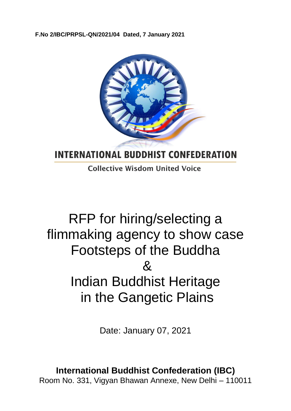**F.No 2/IBC/PRPSL-QN/2021/04 Dated, 7 January 2021**



**INTERNATIONAL BUDDHIST CONFEDERATION** 

**Collective Wisdom United Voice** 

# RFP for hiring/selecting a flimmaking agency to show case Footsteps of the Buddha & Indian Buddhist Heritage in the Gangetic Plains

Date: January 07, 2021

**International Buddhist Confederation (IBC)** Room No. 331, Vigyan Bhawan Annexe, New Delhi – 110011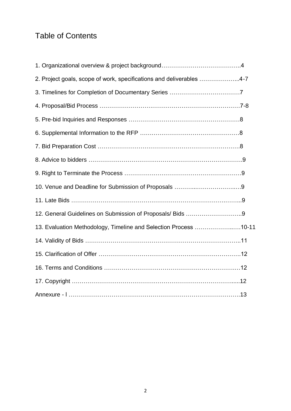# Table of Contents

| 2. Project goals, scope of work, specifications and deliverables 4-7 |  |
|----------------------------------------------------------------------|--|
|                                                                      |  |
|                                                                      |  |
|                                                                      |  |
|                                                                      |  |
|                                                                      |  |
|                                                                      |  |
|                                                                      |  |
|                                                                      |  |
|                                                                      |  |
| 12. General Guidelines on Submission of Proposals/ Bids 9            |  |
| 13. Evaluation Methodology, Timeline and Selection Process 10-11     |  |
|                                                                      |  |
|                                                                      |  |
|                                                                      |  |
|                                                                      |  |
|                                                                      |  |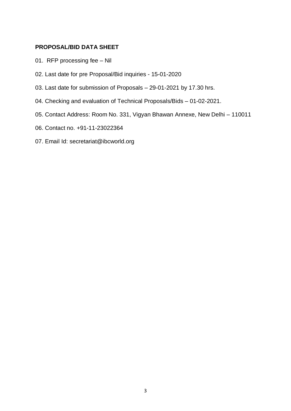#### **PROPOSAL/BID DATA SHEET**

- 01. RFP processing fee Nil
- 02. Last date for pre Proposal/Bid inquiries 15-01-2020
- 03. Last date for submission of Proposals 29-01-2021 by 17.30 hrs.
- 04. Checking and evaluation of Technical Proposals/Bids 01-02-2021.
- 05. Contact Address: Room No. 331, Vigyan Bhawan Annexe, New Delhi 110011
- 06. Contact no. +91-11-23022364
- 07. Email Id: secretariat@ibcworld.org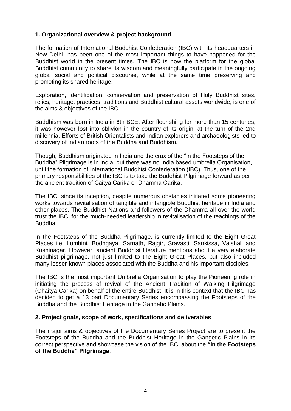#### **1. Organizational overview & project background**

The formation of International Buddhist Confederation (IBC) with its headquarters in New Delhi, has been one of the most important things to have happened for the Buddhist world in the present times. The IBC is now the platform for the global Buddhist community to share its wisdom and meaningfully participate in the ongoing global social and political discourse, while at the same time preserving and promoting its shared heritage.

Exploration, identification, conservation and preservation of Holy Buddhist sites, relics, heritage, practices, traditions and Buddhist cultural assets worldwide, is one of the aims & objectives of the IBC.

Buddhism was born in India in 6th BCE. After flourishing for more than 15 centuries, it was however lost into oblivion in the country of its origin, at the turn of the 2nd millennia. Efforts of British Orientalists and Indian explorers and archaeologists led to discovery of Indian roots of the Buddha and Buddhism.

Though, Buddhism originated in India and the crux of the "In the Footsteps of the Buddha" Pilgrimage is in India, but there was no India based umbrella Organisation, until the formation of International Buddhist Confederation (IBC). Thus, one of the primary responsibilities of the IBC is to take the Buddhist Pilgrimage forward as per the ancient tradition of Caitya Cārikā or Dhamma Cārikā.

The IBC, since its inception, despite numerous obstacles initiated some pioneering works towards revitalisation of tangible and intangible Buddhist heritage in India and other places. The Buddhist Nations and followers of the Dhamma all over the world trust the IBC, for the much-needed leadership in revitalisation of the teachings of the Buddha.

In the Footsteps of the Buddha Pilgrimage, is currently limited to the Eight Great Places i.e. Lumbini, Bodhgaya, Sarnath, Rajgir, Sravasti, Sankissa, Vaishali and Kushinagar. However, ancient Buddhist literature mentions about a very elaborate Buddhist pilgrimage, not just limited to the Eight Great Places, but also included many lesser-known places associated with the Buddha and his important disciples.

The IBC is the most important Umbrella Organisation to play the Pioneering role in initiating the process of revival of the Ancient Tradition of Walking Pilgrimage (Chaitya Carika) on behalf of the entire Buddhist. It is in this context that the IBC has decided to get a 13 part Documentary Series encompassing the Footsteps of the Buddha and the Buddhist Heritage in the Gangetic Plains.

#### **2. Project goals, scope of work, specifications and deliverables**

The major aims & objectives of the Documentary Series Project are to present the Footsteps of the Buddha and the Buddhist Heritage in the Gangetic Plains in its correct perspective and showcase the vision of the IBC, about the **"In the Footsteps of the Buddha" Pilgrimage**.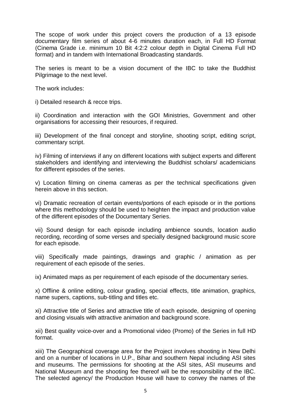The scope of work under this project covers the production of a 13 episode documentary film series of about 4-6 minutes duration each, in Full HD Format (Cinema Grade i.e. minimum 10 Bit 4:2:2 colour depth in Digital Cinema Full HD format) and in tandem with International Broadcasting standards.

The series is meant to be a vision document of the IBC to take the Buddhist Pilgrimage to the next level.

The work includes:

i) Detailed research & recce trips.

ii) Coordination and interaction with the GOI Ministries, Government and other organisations for accessing their resources, if required.

iii) Development of the final concept and storyline, shooting script, editing script, commentary script.

iv) Filming of interviews if any on different locations with subject experts and different stakeholders and identifying and interviewing the Buddhist scholars/ academicians for different episodes of the series.

v) Location filming on cinema cameras as per the technical specifications given herein above in this section.

vi) Dramatic recreation of certain events/portions of each episode or in the portions where this methodology should be used to heighten the impact and production value of the different episodes of the Documentary Series.

vii) Sound design for each episode including ambience sounds, location audio recording, recording of some verses and specially designed background music score for each episode.

viii) Specifically made paintings, drawings and graphic / animation as per requirement of each episode of the series.

ix) Animated maps as per requirement of each episode of the documentary series.

x) Offline & online editing, colour grading, special effects, title animation, graphics, name supers, captions, sub-titling and titles etc.

xi) Attractive title of Series and attractive title of each episode, designing of opening and closing visuals with attractive animation and background score.

xii) Best quality voice-over and a Promotional video (Promo) of the Series in full HD format.

xiii) The Geographical coverage area for the Project involves shooting in New Delhi and on a number of locations in U.P., Bihar and southern Nepal including ASI sites and museums. The permissions for shooting at the ASI sites, ASI museums and National Museum and the shooting fee thereof will be the responsibility of the IBC. The selected agency/ the Production House will have to convey the names of the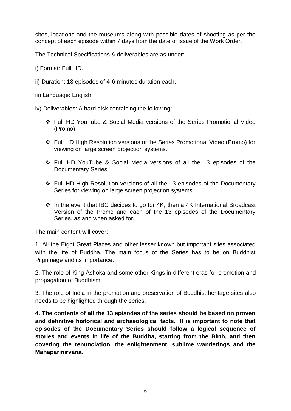sites, locations and the museums along with possible dates of shooting as per the concept of each episode within 7 days from the date of issue of the Work Order.

The Technical Specifications & deliverables are as under:

- i) Format: Full HD.
- ii) Duration: 13 episodes of 4-6 minutes duration each.
- iii) Language: English
- iv) Deliverables: A hard disk containing the following:
	- Full HD YouTube & Social Media versions of the Series Promotional Video (Promo).
	- Full HD High Resolution versions of the Series Promotional Video (Promo) for viewing on large screen projection systems.
	- Full HD YouTube & Social Media versions of all the 13 episodes of the Documentary Series.
	- Full HD High Resolution versions of all the 13 episodes of the Documentary Series for viewing on large screen projection systems.
	- $\div$  In the event that IBC decides to go for 4K, then a 4K International Broadcast Version of the Promo and each of the 13 episodes of the Documentary Series, as and when asked for.

The main content will cover:

1. All the Eight Great Places and other lesser known but important sites associated with the life of Buddha. The main focus of the Series has to be on Buddhist Pilgrimage and its importance.

2. The role of King Ashoka and some other Kings in different eras for promotion and propagation of Buddhism.

3. The role of India in the promotion and preservation of Buddhist heritage sites also needs to be highlighted through the series.

**4. The contents of all the 13 episodes of the series should be based on proven and definitive historical and archaeological facts. It is important to note that episodes of the Documentary Series should follow a logical sequence of stories and events in life of the Buddha, starting from the Birth, and then covering the renunciation, the enlightenment, sublime wanderings and the Mahaparinirvana.**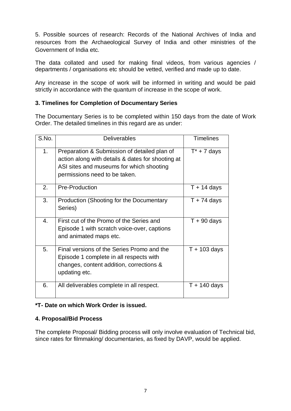5. Possible sources of research: Records of the National Archives of India and resources from the Archaeological Survey of India and other ministries of the Government of India etc.

The data collated and used for making final videos, from various agencies / departments / organisations etc should be vetted, verified and made up to date.

Any increase in the scope of work will be informed in writing and would be paid strictly in accordance with the quantum of increase in the scope of work.

#### **3. Timelines for Completion of Documentary Series**

The Documentary Series is to be completed within 150 days from the date of Work Order. The detailed timelines in this regard are as under:

| S.No. | <b>Deliverables</b>                                                                                                                                                            | <b>Timelines</b> |
|-------|--------------------------------------------------------------------------------------------------------------------------------------------------------------------------------|------------------|
| 1.    | Preparation & Submission of detailed plan of<br>action along with details & dates for shooting at<br>ASI sites and museums for which shooting<br>permissions need to be taken. | $T^*$ + 7 days   |
| 2.    | <b>Pre-Production</b>                                                                                                                                                          | $T + 14$ days    |
| 3.    | Production (Shooting for the Documentary<br>Series)                                                                                                                            | $T + 74$ days    |
| 4.    | First cut of the Promo of the Series and<br>Episode 1 with scratch voice-over, captions<br>and animated maps etc.                                                              | $T + 90$ days    |
| 5.    | Final versions of the Series Promo and the<br>Episode 1 complete in all respects with<br>changes, content addition, corrections &<br>updating etc.                             | $T + 103$ days   |
| 6.    | All deliverables complete in all respect.                                                                                                                                      | $T + 140$ days   |

# **\*T- Date on which Work Order is issued.**

# **4. Proposal/Bid Process**

The complete Proposal/ Bidding process will only involve evaluation of Technical bid, since rates for filmmaking/ documentaries, as fixed by DAVP, would be applied.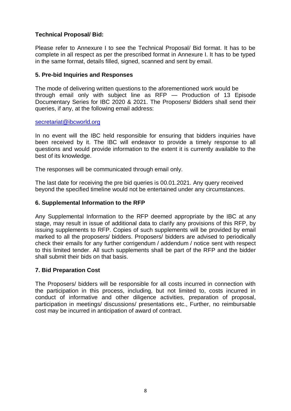# **Technical Proposal/ Bid:**

Please refer to Annexure I to see the Technical Proposal/ Bid format. It has to be complete in all respect as per the prescribed format in Annexure I. It has to be typed in the same format, details filled, signed, scanned and sent by email.

# **5. Pre-bid Inquiries and Responses**

The mode of delivering written questions to the aforementioned work would be through email only with subject line as RFP — Production of 13 Episode Documentary Series for IBC 2020 & 2021. The Proposers/ Bidders shall send their queries, if any, at the following email address:

#### [secretariat@ibcworld.org](mailto:secretariat@ibcworld.org)

In no event will the IBC held responsible for ensuring that bidders inquiries have been received by it. The IBC will endeavor to provide a timely response to all questions and would provide information to the extent it is currently available to the best of its knowledge.

The responses will be communicated through email only.

The last date for receiving the pre bid queries is 00.01.2021. Any query received beyond the specified timeline would not be entertained under any circumstances.

#### **6. Supplemental Information to the RFP**

Any Supplemental Information to the RFP deemed appropriate by the IBC at any stage, may result in issue of additional data to clarify any provisions of this RFP, by issuing supplements to RFP. Copies of such supplements will be provided by email marked to all the proposers/ bidders. Proposers/ bidders are advised to periodically check their emails for any further corrigendum / addendum / notice sent with respect to this limited tender. All such supplements shall be part of the RFP and the bidder shall submit their bids on that basis.

#### **7. Bid Preparation Cost**

The Proposers/ bidders will be responsible for all costs incurred in connection with the participation in this process, including, but not limited to, costs incurred in conduct of informative and other diligence activities, preparation of proposal, participation in meetings/ discussions/ presentations etc., Further, no reimbursable cost may be incurred in anticipation of award of contract.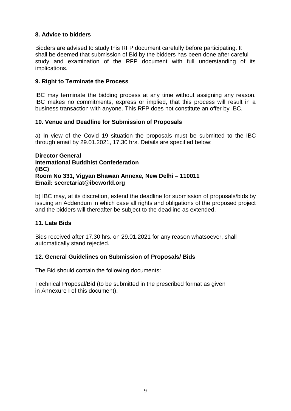# **8. Advice to bidders**

Bidders are advised to study this RFP document carefully before participating. It shall be deemed that submission of Bid by the bidders has been done after careful study and examination of the RFP document with full understanding of its implications.

# **9. Right to Terminate the Process**

IBC may terminate the bidding process at any time without assigning any reason. IBC makes no commitments, express or implied, that this process will result in a business transaction with anyone. This RFP does not constitute an offer by IBC.

# **10. Venue and Deadline for Submission of Proposals**

a) In view of the Covid 19 situation the proposals must be submitted to the IBC through email by 29.01.2021, 17.30 hrs. Details are specified below:

**Director General International Buddhist Confederation (IBC) Room No 331, Vigyan Bhawan Annexe, New Delhi – 110011 Email: secretariat@ibcworld.org**

b) IBC may, at its discretion, extend the deadline for submission of proposals/bids by issuing an Addendum in which case all rights and obligations of the proposed project and the bidders will thereafter be subject to the deadline as extended.

# **11. Late Bids**

Bids received after 17.30 hrs. on 29.01.2021 for any reason whatsoever, shall automatically stand rejected.

# **12. General Guidelines on Submission of Proposals/ Bids**

The Bid should contain the following documents:

Technical Proposal/Bid (to be submitted in the prescribed format as given in Annexure I of this document).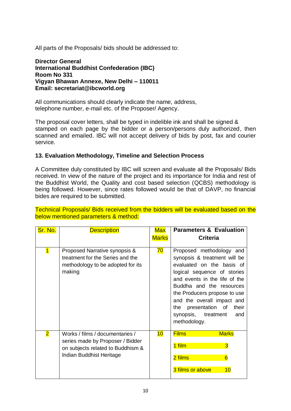All parts of the Proposals/ bids should be addressed to:

**Director General International Buddhist Confederation (IBC) Room No 331 Vigyan Bhawan Annexe, New Delhi – 110011 Email: secretariat@ibcworld.org**

All communications should clearly indicate the name, address, telephone number, e-mail etc. of the Proposer/ Agency.

The proposal cover letters, shall be typed in indelible ink and shall be signed & stamped on each page by the bidder or a person/persons duly authorized, then scanned and emailed. IBC will not accept delivery of bids by post, fax and courier service.

#### **13. Evaluation Methodology, Timeline and Selection Process**

A Committee duly constituted by IBC will screen and evaluate all the Proposals/ Bids received. In view of the nature of the project and its importance for India and rest of the Buddhist World, the Quality and cost based selection (QCBS) methodology is being followed. However, since rates followed would be that of DAVP, no financial bides are required to be submitted.

Technical Proposals/ Bids received from the bidders will be evaluated based on the below mentioned parameters & method:

| Sr. No.                 | <b>Description</b>                                                                                                                   | Max             | <b>Parameters &amp; Evaluation</b>                                                                                                                                                                                                                                                                                                  |
|-------------------------|--------------------------------------------------------------------------------------------------------------------------------------|-----------------|-------------------------------------------------------------------------------------------------------------------------------------------------------------------------------------------------------------------------------------------------------------------------------------------------------------------------------------|
|                         |                                                                                                                                      | <b>Marks</b>    | <b>Criteria</b>                                                                                                                                                                                                                                                                                                                     |
| $\mathbf{1}$            | Proposed Narrative synopsis &<br>treatment for the Series and the<br>methodology to be adopted for its<br>making                     | <mark>70</mark> | Proposed methodology and<br>synopsis & treatment will be<br>evaluated on the basis of<br>logical sequence of stories<br>and events in the life of the<br>Buddha and the resources<br>the Producers propose to use<br>and the overall impact and<br>presentation of<br>their<br>the<br>synopsis,<br>treatment<br>and<br>methodology. |
| $\overline{\mathbf{2}}$ | Works / films / documentaries /<br>series made by Proposer / Bidder<br>on subjects related to Buddhism &<br>Indian Buddhist Heritage | 10              | <b>Films</b><br><b>Marks</b><br>1 film<br>3<br>2 films<br>$6\overline{6}$<br>3 films or above<br>10                                                                                                                                                                                                                                 |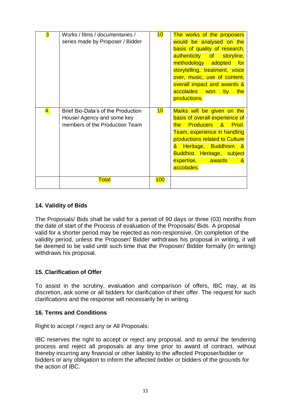| 3  | Works / films / documentaries /<br>series made by Proposer / Bidder                                | 10  | The works of the proposers<br>would be analysed on the<br>basis of quality of research,<br>authenticity of storyline,<br>methodology adopted for<br>storytelling, treatment, voice<br>over, music, use of content,<br>overall impact and awards &<br>accolades won<br>the<br>by<br>productions. |
|----|----------------------------------------------------------------------------------------------------|-----|-------------------------------------------------------------------------------------------------------------------------------------------------------------------------------------------------------------------------------------------------------------------------------------------------|
| 4. | Brief Bio-Data's of the Production<br>House/ Agency and some key<br>members of the Production Team | 10  | Marks will be given on the<br>basis of overall experience of<br>Producers & Prod.<br>the l<br>Team, experience in handling<br>productions related to Culture<br>& Heritage, Buddhism<br><u> &amp;</u><br>Buddhist Heritage, subject<br>expertise, awards<br>$\mathbf{g}$<br>accolades.          |
|    | Total                                                                                              | 100 |                                                                                                                                                                                                                                                                                                 |

# **14. Validity of Bids**

The Proposals/ Bids shall be valid for a period of 90 days or three (03) months from the date of start of the Process of evaluation of the Proposals/ Bids. A proposal valid for a shorter period may be rejected as non-responsive. On completion of the validity period, unless the Proposer/ Bidder withdraws his proposal in writing, it will be deemed to be valid until such time that the Proposer/ Bidder formally (in writing) withdraws his proposal.

#### **15. Clarification of Offer**

To assist in the scrutiny, evaluation and comparison of offers, IBC may, at its discretion, ask some or all bidders for clarification of their offer. The request for such clarifications and the response will necessarily be in writing.

#### **16. Terms and Conditions**

Right to accept / reject any or All Proposals:

IBC reserves the right to accept or reject any proposal, and to annul the tendering process and reject all proposals at any time prior to award of contract, without thereby incurring any financial or other liability to the affected Proposer/bidder or bidders or any obligation to inform the affected bidder or bidders of the grounds for the action of IBC.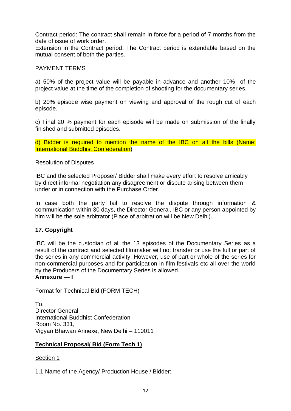Contract period: The contract shall remain in force for a period of 7 months from the date of issue of work order.

Extension in the Contract period: The Contract period is extendable based on the mutual consent of both the parties.

#### PAYMENT TERMS

a) 50% of the project value will be payable in advance and another 10% of the project value at the time of the completion of shooting for the documentary series.

b) 20% episode wise payment on viewing and approval of the rough cut of each episode.

c) Final 20 % payment for each episode will be made on submission of the finally finished and submitted episodes.

d) Bidder is required to mention the name of the IBC on all the bills (Name: International Buddhist Confederation)

#### Resolution of Disputes

IBC and the selected Proposer/ Bidder shall make every effort to resolve amicably by direct informal negotiation any disagreement or dispute arising between them under or in connection with the Purchase Order.

In case both the party fail to resolve the dispute through information & communication within 30 days, the Director General, IBC or any person appointed by him will be the sole arbitrator (Place of arbitration will be New Delhi).

# **17. Copyright**

IBC will be the custodian of all the 13 episodes of the Documentary Series as a result of the contract and selected filmmaker will not transfer or use the full or part of the series in any commercial activity. However, use of part or whole of the series for non-commercial purposes and for participation in film festivals etc all over the world by the Producers of the Documentary Series is allowed.

# **Annexure — I**

Format for Technical Bid (FORM TECH)

To, Director General International Buddhist Confederation Room No. 331, Vigyan Bhawan Annexe, New Delhi – 110011

# **Technical Proposal/ Bid (Form Tech 1)**

#### Section 1

1.1 Name of the Agency/ Production House / Bidder: